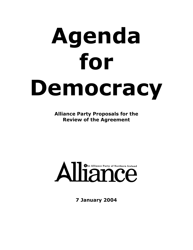# Agenda for Democracy

**Alliance Party Proposals for the Review of the Agreement** 

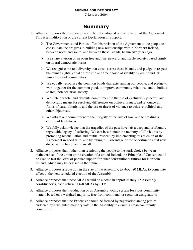7 January 2004

# Summary

- 1. Alliance proposes the following Preamble to be adopted on the revision of the Agreement. This is a modification of the current Declaration of Support:
	- $\triangleright$  The Governments and Parties offer this revision of the Agreement to the people to consolidate the progress in building new relationships within Northern Ireland, between north and south, and between these islands, begun five years ago.
	- $\triangleright$  We share a vision of an open free and fair, peaceful and stable society, based firmly on liberal democratic norms.
	- $\triangleright$  We recognise the real diversity that exists across these islands, and pledge to respect the human rights, equal citizenship and free choice of identity by all individuals, minorities and communities.
	- $\triangleright$  We equally recognise the common bonds that exist among our people, and pledge to work together for the common good, to improve community relations, and to build a shared, non-sectarian society.
	- $\triangleright$  We state our total and absolute commitment to the use of exclusively peaceful and democratic means for resolving differences on political issues, and renounce all forms of paramilitarism, and the use or threat of violence to achieve political and other objectives.
	- $\triangleright$  We affirm our commitment to the integrity of the rule of law, and to creating a culture of lawfulness.
	- $\triangleright$  We fully acknowledge that the tragedies of the past have left a deep and profoundly regrettable legacy of suffering. We can best honour the memory of all victims by promoting reconciliation and mutual respect, by implementing this revision of the Agreement in good faith, and by taking full advantage of the opportunities that new dispensation has given to us all.
- 2. Alliance proposes that, rather than restricting the people to the stark choice between maintenance of the union or the creation of a united Ireland, the Principle of Consent could be used to test the level of popular support for other constitutional futures for Northern Ireland, which may be devised in the future.
- 3. Alliance proposes a reduction in the size of the Assembly, to about 80 MLAs, to come into effect at the next scheduled election of the Assembly.
- 4. Alliance proposes that these MLAs would be elected in approximately 12 Assembly constituencies, each returning 6-8 MLAs by STV.
- 5. Alliance proposes the introduction of an Assembly voting system for cross-community matters based on a weighted majority, free from communal or sectarian designations.
- 6. Alliance proposes that the Executive should be formed by negotiation among parties endorsed by a weighted majority vote in the Assembly to ensure a cross-community composition.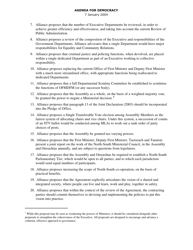- 7. Alliance proposes that the number of Executive Departments be reviewed, in order to achieve greater efficiency and effectiveness, and taking into account the current Review of Public Administration.
- 8. Alliance proposes a review of the composition of the Executive and responsibilities of the Government Departments. Alliance advocates that a single Department would have major responsibilities for Equality and Community Relations.
- 9. Alliance proposes that criminal justice and policing functions, when devolved, are placed within a single dedicated Department as part of an Executive working to collective responsibility.
- 10. Alliance proposes replacing the current Office of First Minister and Deputy First Minister with a much more streamlined office, with appropriate functions being reallocated to dedicated Departments.
- 11. Alliance proposes that a full Departmental Scrutiny Committee be established to scrutinise the functions of OFMDFM (or any successor body).
- 12. Alliance proposes that the Assembly as a whole, on the basis of a weighted majority vote, be granted the power to negate a Ministerial decision. **1**
- 13. Alliance proposes that paragraph 13 of the Joint Declaration (2003) should be incorporated into the Pledge of Office.
- 14. Alliance proposes a Single Transferable Vote election among Assembly Members as the fairest system of allocating chairs and vice chairs. Under this system, a succession of counts of an STV ballot would be conducted among MLAs to work out a rank order of party choices of posts.
- 15. Alliance proposes that the Assembly be granted tax-varying powers.
- 16. Alliance proposes that the First Minister, Deputy First Minister, Taoiseach and Tanaiste present a joint report on the work of the North-South Ministerial Council, in the Assembly and Oireachtas annually, and are subject to questions from legislators.
- 17. Alliance proposes that the Assembly and Oireachtas be required to establish a North-South Parliamentary Tier, which would be open to all parties, and to which each jurisdiction would send equal numbers of participants.
- 18. Alliance proposes increasing the scope of North-South co-operation, on the basis of practical benefits.
- 19. Alliance proposes that the Agreement explicitly articulates the vision of a shared and integrated society, where people can live and learn, work and play, together in safety.
- 20. Alliance proposes that within the context of the review of the Agreement, the contracting parties should commit themselves to devising and implementing the policies to put this vision into practice.

 $1$  While this proposal may be seen as weakening the powers of Ministers, it should be considered alongside other proposals to strengthen the cohesiveness of the Executive. All proposals are designed to encourage and advance a coherent, effective approach to governance.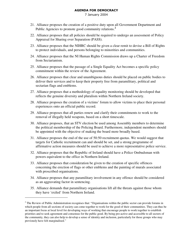- 21. Alliance proposes the creation of a positive duty upon all Government Department and Public Agencies to promote good community relations. **2**
- 22. Alliance proposes that all policies should be required to undergo an assessment of Policy Appraisal for Sharing over Separation (PASS).
- 23. Alliance proposes that the NIHRC should be given a clear remit to devise a Bill of Rights to protect individuals, and persons belonging to minorities and communities.
- 24. Alliance proposes that the NI Human Rights Commission draws up a Charter of Freedom from Sectarianism.
- 25. Alliance proposes that the passage of a Single Equality Act becomes a specific policy commitment within the review of the Agreement.
- 26. Alliance proposes that clear and unambiguous duties should be placed on public bodies to deliver their services and to keep their property free from paramilitary, political and sectarian flags and emblems.
- 27. Alliance proposes that a methodology of equality monitoring should be developed that reflects the genuine diversity and pluralism within Northern Ireland society.
- 28. Alliance proposes the creation of a victims' forum to allow victims to place their personal experiences onto an official public record.
- 29. Alliance proposes that all parties renew and clarify their commitments to work to the removal of illegally held weapons, based on a short timescale.
- 30. Alliance proposes, that an STV election be used among Assembly members to determine the political membership of the Policing Board. Furthermore, independent members should be appointed with the objective of making the board more broadly based.
- 31. Alliance proposes the end of the use of 50:50 recruitment quotas. We would suggest that targets for Catholic recruitment can and should be set, and a strong programme of affirmative action measures should be used to achieve a more representative police service.
- 32. Alliance proposes that the Republic of Ireland should have a Police Ombudsman with powers equivalent to the office in Northern Ireland.
- 33. Alliance proposes that consideration be given to the creation of specific offences concerning the erection of flags or other emblems and the painting of murals associated with proscribed organisations.
- 34. Alliance proposes that any paramilitary involvement in any offence should be considered as an aggravating factor in sentencing.
- 35. Alliance demands that paramilitary organisations lift all the threats against those whom they have 'exiled' from Northern Ireland.

 $2$  The Review of Public Administration recognises that: "Organisations within the public sector can provide forums in which people from all sections of society can come together to work for the good of their communities. They can thus be an important focus at local level for developing ways of working that encourage people to work together to establish priorities and to seek agreement and consensus for the public good. By being pro-active and accessible to all sectors of the community, they can also help to develop a sense of identity and inclusion, particularly for those groups who may previously have felt marginalised."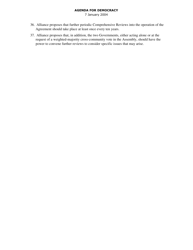- 36. Alliance proposes that further periodic Comprehensive Reviews into the operation of the Agreement should take place at least once every ten years.
- 37. Alliance proposes that, in addition, the two Governments, either acting alone or at the request of a weighted-majority cross-community vote in the Assembly, should have the power to convene further reviews to consider specific issues that may arise.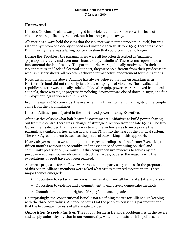7 January 2004

## **Foreword**

In 1969, Northern Ireland was plunged into violent conflict. Since 1994, the level of violence has significantly reduced, but it has not yet gone away.

Alliance has always held the view that the violence was not the problem in itself, but was rather a symptom of a deeply divided and unstable society. Before 1969, there was 'peace'. But in reality there was a failing political system that could continue no longer.

During the 'Troubles', the paramilitaries were all too often described as 'madmen', 'psychopaths', 'evil', and even more inaccurately, 'mindless'. These terms represented a fundamental denial of reality. The paramilitaries were politically motivated. In their violent tactics and lack of electoral support, they were no different from their predecessors, who, as history shows, all too often achieved retrospective endorsement for their actions.

Notwithstanding the above, Alliance has always believed that the circumstances in Northern Ireland did not remotely justify the campaigns of violence. The loyalist and republican terror was ethically indefensible. After 1969, powers were removed from local councils, there was major progress in policing, Stormont was closed down in 1972, and fair employment legislation was put in place.

From the early 1970s onwards, the overwhelming threat to the human rights of the people came from the paramilitaries.

In 1973, Alliance participated in the short-lived power-sharing Executive.

After a series of somewhat half-hearted Governmental initiatives to build power sharing out from the centre, there was a change of strategic direction from the late 1980s. The two Governments decided that the only way to end the violence was to incorporate the paramilitary-linked parties, in particular Sinn Féin, into the heart of the political system. The 1998 Agreement can be seen as the practical outworking of this approach.

Nearly six years on, as we contemplate the repeated collapses of the former Executive, the fifteen months without an Assembly, and the evidence of continuing political and community polarisation, we must – if this comprehensive review is to serve any real purpose – address not merely certain structural issues, but also the reasons why the expectations of 1998 have not been realised.

Alliance's proposals for the Review are rooted in the party's key values. In the preparation of this paper. Alliance members were asked what issues mattered most to them. Three major themes emerged:

- $\triangleright$  Opposition to sectarianism, racism, segregation, and all forms of arbitrary division
- $\triangleright$  Opposition to violence and a commitment to exclusively democratic methods
- $\triangleright$  Commitment to human rights, 'fair play', and social justice

Unsurprisingly, the 'constitutional issue' is not a defining matter for Alliance. In keeping with the three core values, Alliance believes that the people's consent is paramount and that the legitimate interests of all are safeguarded.

**Opposition to sectarianism.** The root of Northern Ireland's problems lies in the severe and deeply unhealthy division in our community, which manifests itself in politics, in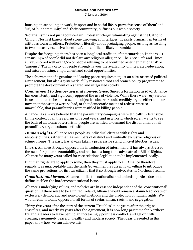7 January 2004

housing, in schooling, in work, in sport and in social life. A pervasive sense of 'them' and 'us', of 'our community' and 'their community', suffuses our whole society.

Sectarianism is not just about certain Protestant clergy fulminating against the Catholic Church. Nor is it largely about stone throwing at 'interfaces'. It exists primarily in terms of attitudes towards others. Prejudice is literally about prejudging people. As long as we cling to two mutually exclusive 'identities', our conflict is likely to rumble on.

Despite the foregoing, there has been a long local tradition of intermarriage. In the 2001 census, 14% of people did not declare any religious allegiance. The 2001 'Life and Times' survey showed well over 30% of people refusing to be identified as either 'nationalist' or 'unionist'. The majority of people strongly fayour the availability of integrated education, and mixed housing, employment and social opportunities.

The achievement of a genuine and lasting peace requires not just an elite-oriented political arrangement, but also a systematic, fully resourced root and branch policy programme to promote the development of a shared and integrated society.

**Commitment to democracy and non-violence.** Since its formation in 1970, Alliance has consistently and vigorously opposed the use of violence. While there were very serious issues that had to be addressed, no objective observer could credibly argue, either then or now, that the wrongs were so bad, or that democratic means of redress were so unavailable, that paramilitaries were justified in killing people.

Alliance has always believed that the paramilitary campaigns were ethically indefensible. In the context of all the reforms of recent years, and in a world which sorely wants to see the back of all forms of terrorism, people are entitled to demand the disbandment of all paramilitary organisations forthwith.

**Human Rights.** Alliance sees people as individual citizens with rights and responsibilities, rather than as members of distinct and mutually exclusive religious or ethnic groups. The party has always taken a progressive stand on civil liberties issues.

In 1971, Alliance strongly opposed the introduction of internment. It has always stressed the need for police accountability, and has been a long-time advocate of a Bill of Rights. Alliance for many years called for race relations legislation to be implemented locally.

If human rights are to apply to some, then they must apply to all. Alliance therefore regards it as unacceptable that the Irish Government is currently unwilling to introduce the same protections for its own citizens that it so strongly advocates in Northern Ireland.

**Constitutional issues.** Alliance, unlike the nationalist and unionist parties, does not define itself on the border/constitutional issue.

Alliance's underlying values, and policies are in essence independent of the 'constitutional' question. If there were to be a united Ireland, Alliance would remain a staunch advocate of exclusively democratic and non-violent methods and the protection of human rights. We would remain totally opposed to all forms of sectarianism, racism and segregation.

Thirty-five years after the start of the current 'Troubles', nine years after the original ceasefires, and nearly six years after the Agreement, it is now long past time for Northern Ireland's leaders to leave behind an increasingly pointless conflict, and get on with creating a genuinely peaceful, healthy and modern society. The ideas presented in this paper show how we can achieve this.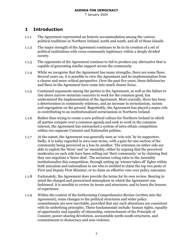7 January 2004

#### $\mathbf{1}$ **Introduction**

- The Agreement represented an historic accommodation among the various  $1.1.1$ political traditions in Northern Ireland, north and south, and all of these islands.
- The major strength of the Agreement continues to lie in its creation of a set of  $1.1.2$ political institutions with cross-community legitimacy within a deeply divided society.
- The opponents of the Agreement continue to fail to produce any alternative that is  $1.1.3$ capable of generating similar support across the community.
- While we recognise that the Agreement has many strengths, there are some flaws.  $1.1.4$ Several years on, it is possible to view the Agreement and its implementation from a clearer and more critical perspective. Over the past five years, these deficiencies and flaws in the Agreement have come into much clearer focus.
- Continued arguments among the parties to the Agreement, as well as the failure to  $1.1.5$ rise above narrow sectarian concerns to work for the common good, has undermined the implementation of the Agreement. Most crucially, there has been a deterioration in community relations, and an increase in sectarianism, racism and segregation on the ground. Regrettably, the Agreement has played a major role in contributing to an institutionalised sectarianism in Northern Ireland.
- Rather than trying to create a new political culture for Northern Ireland in which  $1.1.6$ all parties compete over a common agenda and seek to work in the common interest, the Agreement has entrenched a system of intra-ethnic competition within two separate Unionist and Nationalist polities.
- At the outset, the Agreement was generally seen as 'win-win' by its supporters.  $1.1.7$ Sadly, it is today regarded in zero-sum terms, with a gain for one section of the community being perceived as a loss by another. The extremes on either side are able to exploit the 'them' and 'us' mentality, either by arguing that the perceived moderates on each side have been selling out 'their community' or by claiming that they can negotiate a 'fairer deal'. The sectarian voting rules in the Assembly institutionalise this competition, through setting up 'winner takes all' fights within both unionism and nationalism to see who is entitled to claim the top two posts of First and Deputy First Minister, or to claim an effective veto over policy outcomes.
- $1.1.8$ Fortunately, the Agreement does provide the terms for its own review. Bearing in mind the charged and pressurised atmosphere in which the Agreement was fashioned, it is sensible to review its terms and structures, and to learn the lessons of experience.
- Within the context of the forthcoming Comprehensive Review (written into the  $1.1.9$ Agreement), some changes to the political structures and wider policy commitments are now inevitable, provided that any such alterations are consistent with its underlying principles. These fundamentals include: human rights, equality of opportunity and equality of citizenship, entrenchment of the Principle of Consent, power-sharing devolution, accountable north-south structures, and commitments to democracy and non-violence.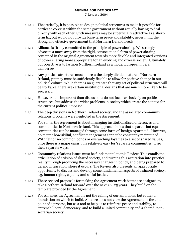- Theoretically, it is possible to design political structures to make it possible for  $1.1.10$ parties to co-exist within the same government without actually having to deal directly with each other. Such measures may be superficially attractive as a shortterm fix, but would not provide long-term peace and stability, never mind the strong and effective government that Northern Ireland needs.
- Alliance is firmly committed to the principle of power sharing. We strongly 1.1.11 advocate a move away from the rigid, consociational form of power sharing contained in the original Agreement towards more flexible and integrated versions of power sharing more appropriate for an evolving and diverse society. Ultimately, our objective is to fashion Northern Ireland as a model European liberal democracy.
- Any political structures must address the deeply divided nature of Northern  $1.1.12$ Ireland, yet they must be sufficiently flexible to allow for positive change in our political culture. While there is no guarantee that any set of political structures will be workable, there are certain institutional designs that are much more likely to be successful.
- However, it is important than discussions do not focus exclusively on political  $1.1.13$ structures, but address the wider problems in society which create the context for the current political impasse.
- The deep divisions in Northern Ireland society, and the associated community 1.1.14 relations problems were neglected in the Agreement.
- For some, the Agreement is about managing institutionalised differences and  $1.1.15$ communities in Northern Ireland. This approach holds that separate but equal communities can be managed through some form of 'benign Apartheid'. However, no matter how skilful, conflict management cannot be constantly maintained. With few or no common bonds or overarching lovalties to a set of shared values, once there is a major crisis, it is relatively easy for 'separate communities' to go their separate ways.
- Community relations issues must be fundamental to this Review. This entails the  $1.1.16$ articulation of a vision of shared society, and turning this aspiration into practical reality through producing the necessary changes in policy, and being prepared to defend integration where it occurs. The Review also presents an appropriate opportunity to discuss and develop some fundamental aspects of a shared society, e.g. human rights, equality and social justice.
- These revised proposals for making the Agreement work better are designed to  $1.1.17$ take Northern Ireland forward over the next 20-25 years. They build on the template provided by the Agreement.
- For Alliance, the Agreement is not the ceiling of our ambitions, but rather a  $1.1.18$ foundation on which to build. Alliance does not view the Agreement as the endpoint of a process, but as a tool to help us to reinforce peace and stability, to entrench liberal democracy, and to build a united community and a shared, nonsectarian society.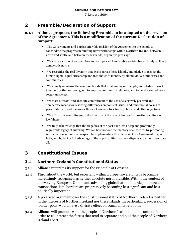7 January 2004

#### $2<sup>1</sup>$ **Preamble/Declaration of Support**

#### Alliance proposes the following Preamble to be adopted on the revision  $2.1.1$ of the Agreement. This is a modification of the current Declaration of Support:

- $\bullet$ The Governments and Parties offer this revision of the Agreement to the people to consolidate the progress in building new relationships within Northern Ireland, between north and south, and between these islands, begun five years ago.
- We share a vision of an open free and fair, peaceful and stable society, based firmly on liberal democratic norms.
- We recognise the real diversity that exists across these islands, and pledge to respect the human rights, equal citizenship and free choice of identity by all individuals, minorities and communities.
- $\bullet$ We equally recognise the common bonds that exist among our people, and pledge to work together for the common good, to improve community relations, and to build a shared, nonsectarian society.
- We state our total and absolute commitment to the use of exclusively peaceful and democratic means for resolving differences on political issues, and renounce all forms of paramilitarism, and the use or threat of violence to achieve political and other objectives.
- We affirm our commitment to the integrity of the rule of law, and to creating a culture of lawfulness.
- We fully acknowledge that the tragedies of the past have left a deep and profoundly regrettable legacy of suffering. We can best honour the memory of all victims by promoting reconciliation and mutual respect, by implementing this revision of the Agreement in good faith, and by taking full advantage of the opportunities that new dispensation has given to us all.

#### $\overline{\mathbf{3}}$ **Constitutional Issues**

#### $3.1$ **Northern Ireland's Constitutional Status**

- Alliance reiterates its support for the Principle of Consent.  $3.1.1$
- Throughout the world, but especially within Europe, sovereignty is becoming  $3.1.2$ increasingly recognised as neither absolute nor indivisible. Within the context of an evolving European Union, and advancing globalisation, interdependence and transnationalism, borders are progressively becoming less significant and less politically important.
- A polarised argument over the constitutional status of Northern Ireland is neither  $3.1.3$ in the interests of Northern Ireland nor these islands. In particular, a succession of 'border polls' would have a divisive effect on community relations.
- Alliance will promote what the people of Northern Ireland hold in common in  $3.1.4$ order to counteract the forces that tend to separate and pull the people of Northern Ireland apart.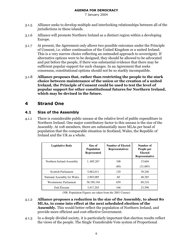7 January 2004

- 3.1.5 Alliance seeks to develop multiple and interlocking relationships between all of the jurisdictions in these islands.
- 3.1.6 Alliance will promote Northern Ireland as a distinct region within a developing Europe.
- 3.1.7 At present, the Agreement only allows two possible outcomes under the Principle of Consent, i.e. either continuation of the United Kingdom or a united Ireland. This is a very narrow choice reflecting an outmoded approach to sovereignty. If alternative options were to be designed, they should be allowed to be advocated and put before the people, if there was substantial evidence that there may be sufficient popular support for such changes. In an Agreement that seeks consensus, constitutional options should not be so starkly incompatible.
- 3.1.8 Alliance proposes that, rather than restricting the people to the stark choice between maintenance of the union or the creation of a united Ireland, the Principle of Consent could be used to test the level of popular support for other constitutional futures for Northern Ireland, which may be devised in the future.

# 4 Strand One

## 4.1 Size of the Assembly

4.1.1 There is considerable public unease at the relative level of public expenditure in Northern Ireland. One major contributory factor to this unease is the size of the Assembly. At 108 members, there are substantially more MLAs per head of population that the comparable situation in Scotland, Wales, the Republic of Ireland and the UK as a whole.

| <b>Legislative Body</b>     | Size of<br><b>Population</b><br><b>Represented</b> | <b>Number of Elected</b><br><b>Representatives</b> | Number of<br>People per<br>Elected<br>Representative |
|-----------------------------|----------------------------------------------------|----------------------------------------------------|------------------------------------------------------|
| Northern Ireland Assembly   | 1, 685, 267                                        | 108                                                | 15.604                                               |
|                             |                                                    | (80)                                               | (21,065)                                             |
| <b>Scottish Parliament</b>  | 5,062,011                                          | 129                                                | 39,240                                               |
| National Assembly for Wales | 2,903,085                                          | 60                                                 | 48,385                                               |
| Westminster Parliament      | 58,789,194                                         | 659                                                | 89.210                                               |
| Dail Éireann                | 3,917,203                                          | 166                                                | 23,598                                               |

(NB. Population Figures are taken from the 2001 Census)

- 4.1.2 Alliance proposes a reduction in the size of the Assembly, to about 80 MLAs, to come into effect at the next scheduled election of the Assembly. This would better reflect the population of Northern Ireland, and provide more efficient and cost-effective Government.
- $4.1.3$ a deeply divided society, it is particularly important that election results reflect the views of the people. The Single Transferable Vote system of Proportional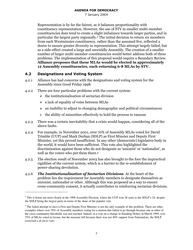7 January 2004

Representation is by far the fairest, as it balances proportionality with constituency representation. However, the use of STV in smaller multi-member constituencies does tend to create a slight imbalance towards larger parties, and in particular the largest party regionally.3 The initial decision to return six members from each Westminster constituency, rather than the assumed five, reflected a desire to ensure greater diversity in representation. This attempt largely failed, but as a side-effect created a large and unwieldly Assembly. The creation of a smaller number of larger multi-member constituencies would better address both of these problems. The implementation of this proposal would require a Boundary Review. Alliance proposes that these MLAs would be elected in approximately 12 Assembly constituencies, each returning 6-8 MLAs by STV.

## 4.2 Designations and Voting System

- 4.2.1 Alliance has had concerns with the designations and voting system for the Assembly since Good Friday 1998.
- $4.2.2$ e are four particular problems with the current system:
	- $\triangleright$  the institutionalisation of sectarian division
	- > a lack of equality of votes between MLAs
	- $\triangleright$  an inability to adjust to changing demographic and political circumstances
	- $\triangleright$  the ability of minorities effectively to hold the process to ransom
- $4.2.3$ e was a certain inevitability that a crisis would happen, considering all of the above faults.
- $4.2.4$ example, in November 2001, over 70% of Assembly MLAs voted for David Trimble (UUP) and Mark Durkan (SDLP) as First Minster and Deputy First Minister, yet this proved insufficient. In any other (democratic) legislative body in the world, it would have been sufficient. This vote also highlighted the discrimination against those who do not designate as 'unionist' or 'nationalist', as well as the voters who put them there.4
- 4.2.5 The election result of November 2003 has also brought to the fore the impractical rigidities of the current system, which is a barrier to the re-establishment of power-sharing devolution.
- 4.2.6 **The Institutionalisation of Sectarian Divisions**. At the heart of the problem lies the requirement for Assembly members to designate themselves as unionist, nationalist or other. Although this was proposed as a way to ensure cross-community consent, it actually contributes to reinforcing sectarian divisions.

<sup>&</sup>lt;sup>3</sup> This is borne out most clearly in the 1998 Assembly Election, where the UUP won 28 seats to the SDLP's 24, despite the SDLP being the largest party in terms of the share of the popular vote.

<sup>&</sup>lt;sup>4</sup> The failed attempt to elect a First and Deputy First Minister is not the only example of this problem. There are other examples where over 70% of Assembly members voting for a motion that failed to go through because one or other of the cross-community thresholds was not reached. Indeed, in a vote on a change in Standing Orders in March 1999, over 75% of MLAs voted in favour, but the measure fell because there was not 40% support from Nationalists; the SDLP exercised a *de facto* veto.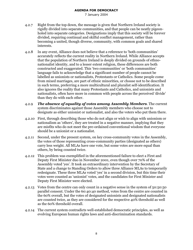- Right from the top down, the message is given that Northern Ireland society is  $4.2.7$ rigidly divided into separate communities, and that people can be neatly pigeonholed into separate categories. Designations imply that this society will be forever divided, requiring continual and skilful conflict management, rather than becoming a united, though diverse, community, with common goals and shared interests.
- In any event, Alliance does not believe that a reference to 'both communities'  $4.2.8$ accurately reflects the current reality in Northern Ireland. While Alliance accepts that the population of Northern Ireland is deeply divided on grounds of ethnonationalist identity, and to a lesser extent religion, these differences are both constructed and exaggerated. This 'two communities' or 'both communities' language fails to acknowledge that a significant number of people cannot be labelled as unionists or nationalists. Protestants or Catholics. Some people come from mixed marriages, are part of ethnic minorities, or choose not to be described in such terms, preferring a more multicultural and pluralist self-identification. It also ignores the reality that many Protestants and Catholics, and unionists and nationalists, often have more in common with people across the perceived 'divide' than they do with each other.
- **The absence of equality of votes among Assembly Members.** The current  $4.2.9$ system discriminates against those Assembly members who choose not to designate as either unionist or nationalist, and also the voters who put them there.
- 4.2.10 First, through describing those who do not align or wish to align with unionism or nationalism as 'others', they are treated in a negative manner, implying that they are misfits who do not meet the pre-ordained conventional wisdom that everyone should be a unionist or a nationalist.
- $4.2.11$ Second, under the present system, on key cross-community votes in the Assembly, the votes of those representing cross-community parties (designated as others) carry less weight. All MLAs have one vote, but some votes are more equal than others, by being counted twice.
- 4.2.12 This problem was exemplified in the aforementioned failure to elect a First and Deputy First Minister duo in November 2001, even though over 70% of the Assembly voted 'yes'. It took an extraordinary intervention by the Secretary of State and a change to Standing Orders to allow three Alliance MLAs to temporarily redesignate. These three MLAs voted 'yes' in a second division, but this time their votes were counted as 'unionist' votes, and the candidates for First Minister and Deputy First Minister were elected.
- 4.2.13 Votes from the centre can only count in a negative sense in the system of 50:50:50 parallel consent. Under the 60:40:40 method, votes from the centre are counted in the 60% overall, but the votes of designated unionists and designated nationalists are counted twice, as they are considered for the respective 40% threshold as well as the 60% threshold overall.
- 4.2.14 The current system contradicts well-established democratic principles, as well as evolving European human rights laws and anti-discrimination standards.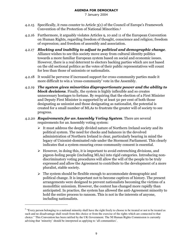- 4.2.15 Specifically, it runs counter to Article 3(1) of the Council of Europe's Framework Convention of the Protection of National Minorities.<sup>5</sup>
- 4.2.16 Furthermore, it arguably violates Articles 9, 10 and 11 of the European Convention on Human Rights, regarding freedom of thought, conscience and religion; freedom of expression; and freedom of assembly and association.
- 4.2.17 Blocking and inability to adjust to political and demographic change. Alliance wishes to see this society move away from cultural identity politics towards a more familiar European system based on social and economic issues. However, there is a real deterrent to electors backing parties which are not based on the old sectional politics as the votes of their public representatives will count for less than those of unionists or nationalists.
- 4.2.18 It would be perverse if increased support for cross-community parties made it more difficult to win a 'cross-community' vote in the Assembly.
- $4.2.19$   $\,$  The system gives minorities disproportionate power and the ability to  $\bm{block}$  decisions. Finally, the system is highly inflexible and so creates unnecessary hostages to fortune. By requiring that the election of a First Minister and Deputy First Minister is supported by at least 50 per cent of both those designating as unionist and those designating as nationalist, the potential is created for a small number of MLAs to frustrate the greater will of society to see progress.
- 4.2.20 Requirements for an Assembly Voting System. There are several requirements for an Assembly voting system:
	- $\triangleright$  It must address the deeply divided nature of Northern Ireland society and its political system. The need for checks and balances in the devolved administration of Northern Ireland is clear, particularly bearing in mind the legacy of Unionist-dominated rule under the Stormont Parliament. This clearly indicates that a system ensuring cross-community consent is essential.
	- $\triangleright$  However, in doing this, it is important to avoid entrenching divisions, and pigeon-holing people (including MLAs) into rigid categories. Introducing nondiscriminatory voting procedures will allow the will of the people to be truly expressed and allow the Agreement to contribute to the development of a more pluralist, stable society.
	- $\triangleright$  The system should be flexible enough to accommodate demographic and political change. It is important not to become captives of history. The present arrangements were designed to prevent nationalists becoming the victims of a monolithic unionism. However, the context has changed more rapidly than anticipated. In practice, the system has allowed the anti-Agreement minority to hold the entire process to ransom. This is not in the interests of anyone, including nationalists.

<sup>&</sup>lt;sup>5</sup> "Every person belonging to a national minority shall have the right freely to choose to be treated or not to be treated as such and no disadvantage shall result from this choice or from the exercise of the rights which are connected to that choice." This Convention has been ratified by the UK Government. The NI Human Rights Commission is currently advising that 'minority' should be interpreted as applying to 'all communities'.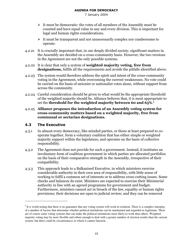7 January 2004

- > It must be democratic: the votes of all members of the Assembly must be counted and have equal value in any and every division. This is important for legal and human rights considerations.
- It must be transparent and not unnecessarily complex nor cumbersome to operate.
- 4.2.21 It is crucially important that, in our deeply divided society, significant matters in the Assembly are decided on a cross-community basis. However, the two versions in the Agreement are not the only possible systems.
- 4.2.22 It is clear that only a system of **weighted majority voting, free from designations,** fulfils all the requirements and avoids the pitfalls identified above.
- 4.2.23 The system would therefore address the spirit and intent of the cross-community voting in the Agreement, while overcoming the current weaknesses. No vote could be carried on the basis of unionist or nationalist votes alone, without support from across the community.
- 4.2.24 Careful consideration should be given to what would be the appropriate threshold of the weighted majority should be. Alliance believes that, it is most appropriate to set the **threshold for the weighted majority between 60 and 65%**.6  $\,$
- 4.2.25 Alliance proposes the introduction of an Assembly voting system for cross-community matters based on a weighted majority, free from communal or sectarian designations.

## 4.3 The Executive

- $4.3.1$ almost every democracy, like-minded parties, or those at least prepared to cooperate together, form a voluntary coalition that has either simple or weighted majority support within the legislature, and operates on the basis of collective responsibility.
- 4.3.2 The Agreement does not provide for such a government. Instead, it institutes an involuntary form of coalition government in which parties are allocated portfolios on the basis of their comparative strength in the Assembly, irrespective of their compatibility.
- 4.3.3 This approach leads to a Balkanised Executive, in which ministers exercise considerable authority in their own area of responsibility, with little sense of working to fulfil a common set of interests or to address cross-cutting issues. Some checks and balances do exist. Ministers are expected to exercise their Ministerial authority in line with an agreed programme for government and budget. Furthermore, ministers cannot act in breach of the law, equality or human rights provisions; their decisions are open to judicial review; and they can be removed

 $6$  It is worth noting that there is no guarantee that any voting system will work in isolation. There is a complex interplay of a number of factors that determine whether political institutions can be maintained and regarded as legitimate. There are of course some voting systems that can make the political institutions more likely to work than others. Weighted majority voting may be more flexible and robust enough to deal with a greater number of election results than the current system, but there could be circumstances in which it cannot function.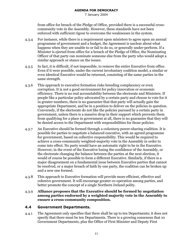7 January 2004

from office for breach of the Pledge of Office, provided there is a successful crosscommunity vote in the Assembly. However, these standards have not been enforced with sufficient rigour to overcome the weaknesses in the system.

- For instance, while there is a requirement upon ministers to agree upon an annual  $4.3.4$ programme of government and a budget, the Agreement is unclear about what happens when they are unable to or fail to do so, or generally under-perform. If a Minister is ejected from office for a breach of the Pledge of Office, the Nominating Officer of that party can nominate someone else from the party who would adopt a similar approach or stance on the issues.
- In fact, it is difficult, if not impossible, to remove the entire Executive from office.  $4.3.5$ Even if it were possible, under the current involuntary coalition model, a similar or even identical Executive would be returned, consisting of the same parties in the same strength.
- This approach to executive formation risks breeding complacency or even  $4.3.6$ corruption. It is not a good environment for policy innovation or economic efficiency. There is no real accountability between the electorate and Ministers. If people like a particular policy advocated by a certain party and choose to vote for it in greater numbers, there is no guarantee that that party will actually gain the appropriate Department, and be in a position to deliver on the policies in question. Conversely, if the electorate do not like the policies pursued by a certain party in government, unless there is a massive drop in their support which prevents them from qualifying for a place in government at all, there is no guarantee that they will be denied access to the Department with responsibilities for those policies.
- An Executive should be formed through a *voluntary* power-sharing coalition. It is  $4.3.7$ possible for parties to negotiate a balanced executive, with an agreed programme for government, based on collective responsibility. This would be required to achieve a cross-community weighted-majority vote in the Assembly in order to come into effect. No party would have an automatic right to be in the Executive. However, in the event of the Executive losing the confidence of the Assembly, or the electorate changing the balance between the parties at the next election, it would of course be possible to form a different Executive. Similarly, if there is a major disagreement on a fundamental issue between Executive parties that cannot be resolved, or a major breach of faith by one party, the coalition can be broken up and a new one formed.
- This approach to Executive formation will provide more efficient, effective and  $4.3.8$ cohesive government. It will encourage greater co-operation among parties, and better promote the concept of a single Northern Ireland polity.
- Alliance proposes that the Executive should be formed by negotiation  $4.3.9$ among parties endorsed by a weighted majority vote in the Assembly to ensure a cross-community composition.

#### 4.4 **Government Departments.**

The Agreement only specifies that there shall be up to ten Departments; it does not  $4.4.1$ specify that there must be ten Departments. There is a growing consensus that 10 Government Departments, plus the Office of First Minister and Deputy First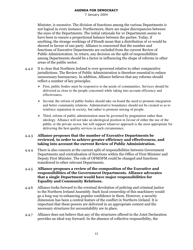7 January 2004

Minister, is excessive. The division of functions among the various Departments is not logical in every instance. Furthermore, there are major discrepancies between the sizes of the Departments. The initial rationale for 10 Departments seems to have been to ensure a proportional balance between the parties. Today, if anything, the strange workings of d'Hondt mean that a distribution of 10 would be skewed in favour of one party. Alliance is concerned that the number and functions of Executive Departments are excluded from the current Review of Public Administration. In return, any decision on the split of responsibilities among Departments should be a factor in influencing the shape of reforms in other areas of the public sector.

- It is clear that Northern Ireland is over-governed relative to other comparative  $4.4.2$ jurisdictions. The Review of Public Administration is therefore essential to reduce unnecessary bureaucracy. In addition, Alliance believes that any reforms should reflect a number of key principles.
	- $\triangleright$  First, public bodies must be responsive to the needs of communities. Services should be delivered as close to the people concerned while taking into account efficiency and effectiveness.
	- $\triangleright$  Second, the reform of public bodies should take on board the need to promote integration and better community relations. Administrative boundaries should not be created so as to reinforce separation in society, but rather to promote mixing of people.
	- $\triangleright$  Third, reform of public administration must be governed by pragmatism rather than ideology. Alliance will not take an ideological position in favour of either the use of the public or the private sector, but will support whatever approach is the most appropriate for delivering the best quality services in each circumstance.

#### Alliance proposes that the number of Executive Departments be  $4.4.3$ reviewed, in order to achieve greater efficiency and effectiveness, and taking into account the current Review of Public Administration.

There is also concern at the current split of responsibilities between Government  $4.4.4$ Departments and centralisation of functions within the Office of First Minister and Deputy First Minister. The role of OFMDFM could be changed and functions transferred to other relevant Departments.

#### Alliance proposes a review of the composition of the Executive and  $4.4.5$ responsibilities of the Government Departments. Alliance advocates that a single Department would have major responsibilities for **Equality and Community Relations.**

- Alliance looks forward to the eventual devolution of policing and criminal justice 4.4.6 to the Northern Ireland Assembly. Such local ownership of this machinery would go a long way to enhancing popular confidence in them. However, a security dimension has been a central feature of the conflict in Northern Ireland. It is important that these powers are delivered in an appropriate context and the necessary structures for accountability are in place.
- Alliance does not believe that any of the structures offered in the Joint Declaration  $4.4.7$ provides an ideal way forward. In the absence of collective responsibility, the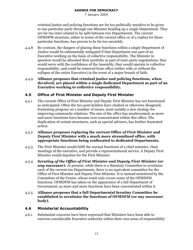7 January 2004

criminal justice and policing functions are far too politically sensitive to be given to one particular party through one Minister heading up a single Department. They are far too inter-related to be split between two Departments. The current OFMDFM structure, either in terms of the current office or of a replica for these particular functions, has proven to be far too unwieldy.

By contrast, the dangers of placing these functions within a single Department of  $4.4.8$ Justice would be substantially mitigated if that Department was part of an Executive working on the basis of collective responsibility. The Minister in question would be allocated their portfolio as part of inter-party negotiations, they would serve with the confidence of the Assembly, they would operate to collective responsibility, and could be removed from office (either with or without the collapse of the entire Executive) in the event of a major breach of faith.

#### Alliance proposes that criminal justice and policing functions, when  $4.4.9$ devolved, are placed within a single dedicated Department as part of an **Executive working to collective responsibility.**

#### $4.5$ **Office of First Minister and Deputy First Minister**

The current Office of First Minister and Deputy First Minister has not functioned  $4.5.1$ as anticipated. Often the two post-holders have clashed or otherwise disagreed, frustrating progress on a number of issues, most notably a new strategy for improving community relations. The size of the office has mushroomed, as more and more functions have become over-concentrated within this office. The duplication of certain structures, such as special advisers, has further frustrated action.

#### Alliance proposes replacing the current Office of First Minister and  $4.5.2$ Deputy First Minister with a much more streamlined office, with appropriate functions being reallocated to dedicated Departments.

- The First Minister would fulfil the normal functions of a chief minister, chair  $4.5.3$ meetings of the executive, and provide a representational service. A Deputy First Minister would deputise for the First Minister.
- Scrutiny of the Office of First Minister and Deputy First Minister (or  $4.5.4$ **any successor).** At present, while there is a Statutory Committee to scrutinise each of the current ten Departments, there is no equivalent committee for the Office of First Minister and Deputy First Minister. It is instead monitored by the Committee of the Centre, whose remit only covers some of the OFMDFM functions. OFMDFM has taken on the appearance of a full Department of Government, as more and more functions have been concentrated within it.
- Alliance proposes that a full Departmental Scrutiny Committee be  $4.5.5$ established to scrutinise the functions of OFMDFM (or any successor body).

#### **Ministerial Accountability**  $4.6$

Substantial concerns have been expressed that Ministers have been able to  $4.6.1$ exercise considerable Executive authority within their own areas of responsibility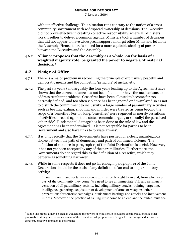7 January 2004

without effective challenge. This situation runs contrary to the notion of a crosscommunity Government with widespread ownership of decisions. The Executive did not prove effective in creating collective responsibility, where all Ministers work together to deliver a common agenda. Ministers took a number of decisions that did not appear to have widespread support amongst other Ministers, let alone the Assembly. Hence, there is a need for a more equitable sharing of power between the Executive and the Assembly.

4.6.2 Alliance proposes that the Assembly as a whole, on the basis of a weighted majority vote, be granted the power to negate a Ministerial decision.<sup>7</sup>

## 4.7 Pledge of Office

- $4.7.1$ e is a major problem in reconciling the principle of exclusively peaceful and democratic means and the competing 'principle' of inclusivity.
- 4.7.2 The past six years (and arguably the four years leading up to the Agreement) have shown that the correct balance has not been found, nor have the mechanisms to address resultant problems. Ceasefires have been allowed to become far too narrowly defined, and too often violence has been ignored or downplayed so as not to disturb the commitment to inclusivity. A large number of paramilitary activities, such as beating, exiling, shooting and murder were treated as being beyond the scope of a 'ceasefire'. For too long, 'ceasefires' were regarded as merely cessations of activities directed against the state, economic targets, or (usually) the perceived 'other side'. Fundamental damage has been done to the rule of law and the Agreement has been undermined. It is not acceptable for parties to be in Government and also have links to 'private armies'.
- 4.7.3 It is only recently that the Governments have pushed for a clear, unambiguous choice between the path of democracy and path of continued violence. The definition of violence in paragraph 13 of the Joint Declaration is useful. However, it has not yet been accepted by any of the paramilitaries. Furthermore, the Governments do not regard this as the definition of a ceasefire, which they perceive as something narrower.
- 4.7.4 While in some respects it does not go far enough, paragraph 13 of the Joint Declaration should be the basis of any definition of an end to all paramilitary activity:

"Paramilitarism and sectarian violence ... must be brought to an end, from whichever part of the community they come. We need to see an immediate, full and permanent cessation of all paramilitary activity, including military attacks, training, targeting, intelligence gathering, acquisition or development of arms or weapons, other preparations for terrorist campaigns, punishment beatings and attacks and involvement in riots. Moreover, the practice of exiling must come to an end and the exiled must feel

<sup>&</sup>lt;sup>7</sup> While this proposal may be seen as weakening the powers of Ministers, it should be considered alongside other proposals to strengthen the cohesiveness of the Executive. All proposals are designed to encourage and advance a coherent, effective approach to governance.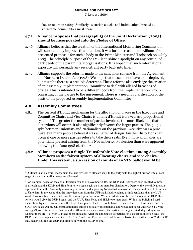7 January 2004

free to return in safety. Similarly, sectarian attacks and intimidation directed at vulnerable communities must cease."

## 4.7.5 Alliance proposes that paragraph 13 of the Joint Declaration (2003) should be incorporated into the Pledge of Office.

- 4.7.6 Alliance believes that the creation of the International Monitoring Commission will substantially improve this situation. It was for this reason that Alliance first presented proposals for such a body to the Prime Minister and Taoiseach on 4 July 2003. The principle purpose of the IMC is to shine a spotlight on any continued dark deeds of the paramilitary organisations. It is hoped that such international exposure will persuade any recalcitrant party back into line.
- 4.7.7 Alliance supports the reforms made to the sanctions scheme from the Agreement and Northern Ireland Act (1998). We hope that these do not have to be deployed, but must be there as a credible deterrent. These reforms also envisage the creation of an Assembly Implementation Committee to deal with alleged breaches of offices. This is intended to be a different body from the Implementation Group consisting of the parties to the Agreement. There is a need for clarification of the basis of the proposed Assembly Implementation Committee.

## 4.8 Assembly Committees

4.8.1 The current d'Hondt mechanism for the allocation of places in the Executive and Committee Chairs and Vice-Chairs is unfair; d'Hondt is flawed as a proportional system. <sup>8</sup> The greater the number of parties involved, the more likely it is that distortions will occur. It also significantly favours the larger parties. The 50:50 split between Unionists and Nationalists on the previous Executive was a pure fluke, but many people believe it was a matter of design. Further distortions can occur if one or more parties refuse to take their seats. Even more anomalies are potentially present arising from the November 2003 election than were apparent following the June 1998 election.9

## 4.8.2 Alliance proposes a Single Transferable Vote election among Assembly Members as the fairest system of allocating chairs and vice chairs. Under this system, a succession of counts of an STV ballot would be

 $8$  D'Hondt is an electoral mechanism that use divisors to allocate seats to the party with the highest divisor vote at each stage of the count until all seats are allocated.

 $9^9$  For example, based on the actual Election results of November 2003, the DUP and UUP were each entitled to three seats each, and the SDLP and Sinn Fein to two seats each, on a ten-member distribution. Despite, the overall Nationalist representation in the Assembly remaining the same, and a growing Nationalist vote overall, they would have lost one seat to Unionism. In the event, that the three defectors from the UUP ranks had remained as independents, then the UUP would have one fewer seat, and Sinn Fein would gain one more. With the addition of three defectors to the DUP, this system would give the DUP 4 seats, and the UUP, Sinn Fein, and SDLP two seats each. Within the Policing Board, under these figures, if Sinn Fein still refused their places, the DUP could have five seats, the UUP three seats, and the SDLP two seats. An 8:2 Unionist:Nationalist split is politically unsustainable and would not occur under an STV vote among MLAs. It is perverse that radically different balances between the parties can be generated, depending upon whether there are 7, 8, 9 or 10 places to be allocated. After the anticipated defections, on a distribution of ten seats, the DUP could have 4 places, and the UUP, SDLP and Sinn Fein two each, while on the basis of a distribution of 7, the DUP only achieve 2, like the UUP and Sinn Fein, with the SDLP on one.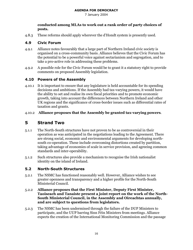7 January 2004

## conducted among MLAs to work out a rank order of party choices of posts.

These reforms should apply wherever the d'Hondt system is presently used.  $4.8.3$ 

#### $4.9$ **Civic Forum**

- Alliance notes favourably that a large part of Northern Ireland civic society is  $4.9.1$ organised on a cross-community basis. Alliance believes that the Civic Forum has the potential to be a powerful voice against sectarianism and segregation, and to take a pro-active role in addressing these problems.
- A possible role for the Civic Forum would be to grant it a statutory right to provide  $4.9.2$ comments on proposed Assembly legislation.

## 4.10 Powers of the Assembly

4.10.1 It is important to ensure that any legislature is held accountable for its spending decisions and ambitions. If the Assembly had tax-varying powers, it would have the ability to set and realise its own fiscal priorities and to promote economic growth, taking into account the differences between Northern Ireland and other UK regions and the significance of cross-border issues such as differential rates of taxation and grants.

## 4.10.2 Alliance proposes that the Assembly be granted tax-varying powers.

#### **Strand Two** 5.

- $5.1.1$ The North-South structures have not proven to be as controversial in their operation as was anticipated in the negotiations leading to the Agreement. There are strong social, economic and environmental arguments for developing northsouth co-operation. These include overcoming distortions created by partition. taking advantage of economies of scale in service provision, and agreeing common standards and inter-operability.
- Such structures also provide a mechanism to recognise the Irish nationalist  $5.1.2$ identity on the island of Ireland.

#### $5.2$ **North-South Structures**

- $5.2.1$ The NSMC has functioned reasonably well. However, Alliance wishes to see greater openness and transparency and a higher profile for the North-South Ministerial Council.
- Alliance proposes that the First Minister, Deputy First Minister,  $5.2.2$ Taoiseach and Tanaiste present a joint report on the work of the North-South Ministerial Council, in the Assembly and Oireachtas annually, and are subject to questions from legislators.
- The NSMC has been undermined through the failure of the DUP Ministers to  $5.2.3$ participate, and the UUP barring Sinn Féin Ministers from meetings. Alliance expects the creation of the International Monitoring Commission and the passage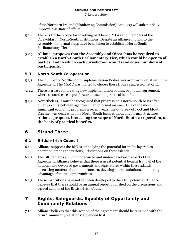7 January 2004

of the Northern Ireland (Monitoring Commission) Act 2003 will substantially improve this state of affairs.

- There is further scope for involving backbench MLAs and members of the  $5.2.4$ Oireachtas in North-South institutions. Despite an Alliance motion to the Assembly, no formal steps have been taken to establish a North-South Parliamentary Tier.
- Alliance proposes that the Assembly and Oireachtas be required to  $5.2.5$ establish a North-South Parliamentary Tier, which would be open to all parties, and to which each jurisdiction would send equal numbers of participants.

#### $5.3$ **North-South Co-operation**

- The number of North-South Implementation Bodies was arbitrarily set at six in the  $5.3.1$ Agreement. The NSMC was invited to choose these from a suggested list of 12.
- There is a case for creating new implementation bodies, by mutual agreement,  $5.3.2$ where a sound case is put forward, based on practical benefit.
- Nevertheless, it must be recognised that progress on a north-south basis often  $5.3.3$ quietly occurs between agencies in an informal manner. One of the most significant economic problems n recent years, the outbreak of Foot and Mouth Disease, was dealt with on a North-South basis without any formal structures. Alliance proposes increasing the scope of North-South co-operation, on the basis of practical benefits.

#### **Strand Three** 6

#### $6.1$ **British-Irish Council**

- $6.1.1$ Alliance supports the BIC as embodying the potential for multi-layered cooperation among the various jurisdictions on these islands.
- The BIC remains a much under-used and under-developed aspect of the  $6.1.2$ Agreement. Alliance believes that there is great potential benefit from all of the national and devolved governments and legislatures within these islands discussing matters of common concern, devising shared solutions, and taking advantage of mutual opportunities.
- These institutions have not yet been developed to their full potential. Alliance  $6.1.3$ believes that there should be an annual report published on the discussions and agreed actions of the British-Irish Council.

#### Rights, Safeguards, Equality of Opportunity and  $\overline{\mathbf{z}}$ **Community Relations**

Alliance believes that this section of the Agreement should be renamed with the  $7.1.1$ term 'Community Relations' appended to it.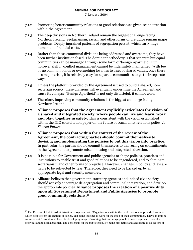- $7.1.2$ omoting better community relations or good relations was given scant attention within the Agreement.
- 7.1.3 The deep divisions in Northern Ireland remain the biggest challenge facing Northern Ireland. Sectarianism, racism and other forms of prejudice remain major problems. Deeply ingrained patterns of segregation persist, which carry huge human and financial costs.
- 7.1.4 Rather than these communal divisions being addressed and overcome, they have been further institutionalised. The dominant orthodoxy is that separate but equal communities can be managed through some form of 'benign Apartheid'. But, however skilful, conflict management cannot be indefinitely maintained. With few or no common bonds or overarching loyalties to a set of shared values, once there is a major crisis, it is relatively easy for separate communities to go their separate ways.
- $7.1.5$ less the platform provided by the Agreement is used to build a shared, nonsectarian society, these divisions will eventually undermine the Agreement and cause its collapse. 'Benign Apartheid' is not only distasteful, it cannot work.
- $7.1.6$ efore, improving community relations is the biggest challenge facing Northern Ireland.
- $_{7.1.7}$   $\,$   $\,$  Alliance proposes that the Agreement explicitly articulates the vision of  $\,$ a shared and integrated society, where people can live and learn, work and play, together in safety. This is consistent with the vision established within the NIO consultation paper on the future of community relations policy,  $A$ Shared Future.
- 7.1.8 Alliance proposes that within the context of the review of the Agreement, the contracting parties should commit themselves to devising and implementing the policies to put this vision into practice. In particular, the parties should commit themselves to delivering on commitments in the Agreement to promote mixed housing and integrated education.
- 7.1.9 It is possible for Government and public agencies to shape policies, practices and institutions to enable trust and good relations to be engendered, and to eliminate sectarianism and other forms of prejudice. However, changes in policy and law are liable to be subverted by fear. Therefore, they need to be backed up by an appropriate legal and security measures.
- 7.1.10 Alliance believes that government, statutory agencies and indeed civic society should actively encourage de-segregation and communal integration, and develop the appropriate policies. Alliance proposes the creation of a positive duty upon all Government Department and Public Agencies to promote good community relations.10

<sup>&</sup>lt;sup>10</sup> The Review of Public Administration recognises that: "Organisations within the public sector can provide forums in which people from all sections of society can come together to work for the good of their communities. They can thus be an important focus at local level for developing ways of working that encourage people to work together to establish priorities and to seek agreement and consensus for the public good. By being pro-active and accessible to all sectors of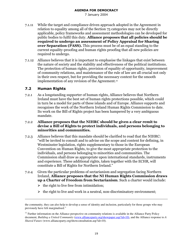7 January 2004

- 7.1.11 While the target and compliance driven approach adopted in the Agreement in relation to equality among all of the Section 75 categories may not be directly applicable, policy frameworks and assessment methodologies can be developed for public bodies to fulfil this duty. **Alliance proposes that all policies should be** required to undergo an assessment of Policy Appraisal for Sharing over Separation (PASS). This process must be of an equal standing to the current equality-proofing and human rights proofing that all new policies are required to undergo.
- 7.1.12 Alliance believes that it is important to emphasise the linkages that exist between the nature of society and the stability and effectiveness of the political institutions. The protection of human rights, provision of equality of opportunity, improvement of community relations, and maintenance of the rule of law are all crucial not only in their own respect, but for providing the necessary context for the smooth implementation of any revision of the Agreement.<sup>11</sup>

## 7.2 Human Rights

7.2.1 As a longstanding supporter of human rights, Alliance believes that Northern Ireland must have the best set of human rights protections possible, which could in turn be a model for parts of these islands and of Europe. Alliance supports and recognises the work of the Northern Ireland Human Rights Commission to date. Its work on the Bill of Rights project has been hampered by a very ambiguous mandate.

## 7.2.2 Alliance proposes that the NIHRC should be given a clear remit to devise a Bill of Rights to protect individuals, and persons belonging to minorities and communities.

- 7.2.3 Alliance believes that this mandate should be clarified to read that the NIHRC: "will be invited to consult and to advise on the scope and content for defining, in Westminster legislation, rights supplementary to those in the European Convention on Human Rights, to give the most appropriate protection to the individuals, and persons belonging to minorities and communities. The Commission shall draw as appropriate upon international standards, instruments and experience. These additional rights, taken together with the ECHR, will constitute a Bill of Rights for Northern Ireland."
- 7.2.4 Given the particular problems of sectarianism and segregation facing Northern Ireland, Alliance proposes that the NI Human Rights Commission draws **up a Charter of Freedom from Sectarianism**. Such a charter would include:
	- $\triangleright$  the right to live free from intimidation;
	- $\triangleright$  the right to live and work in a neutral, non-discriminatory environment;

the community, they can also help to develop a sense of identity and inclusion, particularly for those groups who may previously have felt marginalised."

<sup>&</sup>lt;sup>11</sup> Further information on the Alliance perspective on community relations is available in the Alliance Party Policy document, *Building a United Community* (www.allianceparty.org/showpaper.asp?id=10), and the Alliance response to *A Shared Future* (www.allianceparty.org/showconsultation.asp?id=10).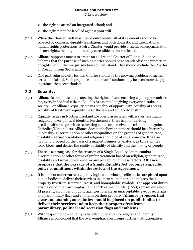7 January 2004

- $\triangleright$  the right to attend an integrated school; and
- $\triangleright$  the right not to be labelled against your will.
- While the Charter itself may not be enforceable, all of its elements should be  $7.2.5$ covered by domestic equality legislation, and both domestic and international human rights protections. Such a Charter would provide a useful conceptualisation of such rights, making them readily accessible to those affected.
- $7.2.6$ Alliance supports moves to create an all-Ireland Charter of Rights. Alliance believes that the purpose of such a Charter should be to standardise the protection of rights within the two jurisdictions on the island. This should include the Charter of Freedom from Sectarianism.
- One particular priority for this Charter should be the growing problem of racism  $7.2.7$ across the island. Such prejudice and its manifestations may be even more deeply ingrained than sectarianism.

#### $7.3$ Equality.

- Alliance is committed to protecting the rights of, and ensuring equal opportunities  $7.3.1$ for, every individual citizen. Equality is essential to giving everyone a stake in society. For Alliance, equality means equality of opportunity, equality of access, equality of treatment, equality under the law and equal citizenship.
- Equality issues in Northern Ireland are overly associated with issues relating to  $7.3.2$ religion and/or political identity. Furthermore, there is an underlying predisposition to prioritise redressing actual or perceived discrimination against Catholics/Nationalists. Alliance does not believe that there should be a hierarchy in equality. Discrimination or other inequalities on the grounds of gender, race, disability, sexual orientation and religion should be of equal concern. It is also wrong to proceed on the basis of a majority/minority analysis, as this signifies fixed blocs, and denies the reality of fluidity of identity and the mixing of people.
- There is a strong case for the creation of a Single Equality Act, to combat  $7.3.3$ discrimination or other forms of unfair treatment based on religion, gender, race, disability and sexual preference, or any perception of these factors. **Alliance** proposes that the passage of a Single Equality Act becomes a specific policy commitment within the review of the Agreement.
- It is unclear under current equality legislation what specific duties are placed upon  $7.3.4$ public bodies to deliver their services in a neutral manner, and to keep their property free from sectarian, racist, and homophobic symbols. The apparent duties arising out of the Fair Employment and Treatment Order (1998) remain untested. At present, a number of public agencies tolerate an unacceptable level of sectarian and paramilitary flags and emblems on their property. Alliance proposes that clear and unambiguous duties should be placed on public bodies to deliver their services and to keep their property free from paramilitary, political and sectarian flags and emblems.
- With respect to how equality is handled in relation to religion and identity,  $7.3.5$ Alliance is concerned that the over-emphasis on groups further institutionalises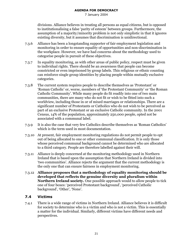7 January 2004

divisions. Alliance believes in treating all persons as equal citizens, but is opposed to institutionalising a false 'parity of esteem' between groups. Furthermore, the assumption of a majority/minority problem is not only simplistic in that it ignores existing diversity, but it assumes that discrimination is unidirectional.

- Alliance has been a longstanding supporter of fair employment legislation and  $7.3.6$ monitoring in order to ensure equality of opportunities and non-discrimination in the workplace. However, we have had concerns about the methodology used to categorise people in pursuit of these objectives.
- In equality monitoring, as with other areas of public policy, respect must be given  $7.3.7$ to individual rights. There should be an awareness that people can become constricted or even imprisoned by group labels. This religious or ethnic counting can reinforce single group identities by placing people within mutually exclusive categories.
- The current system requires people to describe themselves as 'Protestant' or  $7.3.8$ 'Roman Catholic' or, worse, members of 'the Protestant Community' or 'the Roman Catholic Community'. While many people do fit readily into one of two main communities, there are many who do not fit or wish to be fitted into such a worldview, including those in or of mixed marriages or relationships. There are a significant number of Protestants or Catholics who do not wish to be perceived as part of an exclusive Protestant or an exclusive Catholic community. In the 2001 Census, 14% of the population, approximately 250,000 people, opted not be associated with a communal label.
- It is also the case that very few Catholics describe themselves as 'Roman Catholics' 7.3.9 which is the term used in most documentation.
- 7.3.10 At present, fair employment monitoring regulations do not permit people to opt out of being allocated to one or other communal classification. It is only those whose perceived communal background cannot be determined who are allocated to a third category. People are therefore labelled against their will.
- Alliance is deeply concerned at the monitoring methodology used in Northern 7.3.11 Ireland that is based upon the assumption that Northern Ireland is divided into 'two communities'. Alliance rejects the argument that the current methodology is the only one that can ensure fairness in employment monitoring.
- Alliance proposes that a methodology of equality monitoring should be  $7.3.12$ developed that reflects the genuine diversity and pluralism within Northern Ireland society. One possible approach would to allow people to tick one of four boxes: 'perceived Protestant background', 'perceived Catholic background', 'Other', 'None'.

#### $7.4$ **Victims**

There is a wide range of victims in Northern Ireland. Alliance believes it is difficult  $7.4.1$ for society to determine who is a victim and who is not a victim. This is essentially a matter for the individual. Similarly, different victims have different needs and perspectives.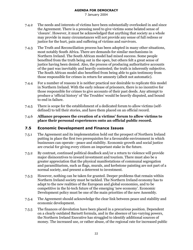7 January 2004

- The needs and interests of victims have been substantially overlooked in and since  $7.4.2$ the Agreement. There is a pressing need to give victims some belated sense of 'closure'. However, it must be acknowledged that anything that society as a whole may provide in many circumstances will not provide any sense of full redress or justice for the hurt, pain and suffering of victims and survivors.
- The Truth and Reconciliation process has been adopted in many other situations,  $7.4.3$ most notably South Africa. There are demands for similar mechanisms in Northern Ireland. The South African model had mixed success. Some people benefited from the truth being out in the open, but others felt a great sense of justice having been denied. Also, the process of producing authoritative accounts of the past was inevitably and heavily contested; the truth is inherently subjective. The South African model also benefited from being able to gain testimony from those responsible for crimes in return for amnesty (albeit not automatic).
- For a number of reasons it is neither practical nor desirable to replicate this model  $7.4.4$ in Northern Ireland. With the early release of prisoners, there is no incentive for those responsible for crimes to give accounts of their past deeds. Any attempt to produce a 'official history' of 'the Troubles' would be heavily disputed, and bound to end in failure.
- There is scope for the establishment of a dedicated forum to allow victims (self- $7.4.5$ defined) to tell their stories, and have them placed on an official record.
- Alliance proposes the creation of a victims' forum to allow victims to 7.4.6 place their personal experiences onto an official public record.

#### $7.5$ **Economic Development and Finance Issues**

- The Agreement and its implementation hold out the prospect of Northern Ireland  $7.5.1$ putting in place the first two prerequisites for a favourable environment in which businesses can operate - peace and stability. Economic growth and social justice are crucial for giving every citizen an important stake in the future.
- By contrast, continued political deadlock and/or a return to violence will provide  $7.5.2$ major disincentives to inward investment and tourism. There must also be a greater appreciation that the physical manifestations of communal segregation and paramilitarism, such as flags, murals, and kerbstone painting are not part of a normal society, and present a deterrent to investment.
- However, nothing can be taken for granted. Deeper problems that remain within  $7.5.3$ Northern Ireland society must be tackled. The Northern Ireland economy has to adapt to the new realities of the European and global economies, and to be competitive in the hi-tech future of the emerging 'new economy'. Economic Development policy must be one of the main priorities of the new Assembly.
- The Agreement should acknowledge the clear link between peace and stability and  $7.5.4$ economic development.
- The finances of devolution have been placed in a precarious position. Dependent  $7.5.5$ on a clearly outdated Barnett formula, and in the absence of tax-varying powers, the Northern Ireland Executive has struggled to identify additional sources of money. The increased use, or rather abuse, of the regional rate for increased public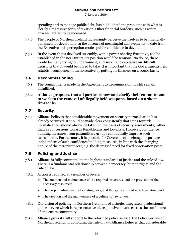7 January 2004

spending and to manage public debt, has highlighted the problems with what is clearly a regressive form of taxation. Other financial burdens, such as water charges, are set to be increased.

- 7.5.6 The people of Northern Ireland increasingly perceive themselves to be financially penalised for devolution. In the absence of meaningful achievements to date from the Executive, this perception erodes public confidence in devolution.
- $7.5.7$ the event that a devolved Assembly, with a power-sharing Executive, can be established in the near future, its position would be tenuous. No doubt, there would be many trying to undermine it, and seeking to capitalise on difficult decisions that it would be forced to take. It is important that the Governments help establish confidence in the Executive by putting its finances on a sound basis.

## 7.6 Decommissioning

- 7.6.1 The commitments made in the Agreement to decommissioning still remain unfulfilled.
- 7.6.2 Alliance proposes that all parties renew and clarify their commitments to work to the removal of illegally held weapons, based on a short  $\,$ timescale.

## 7.7 Security

7.7.1 Alliance believes that considerable movement on security normalisation has already occurred. It should be made clear consistently that steps towards normalisation should always be taken on the basis of security assessments, rather than as concessions towards Republicans and Loyalists. However, confidence building measures from paramilitary groups can radically improve such assessments. Furthermore, it is possible for Government to change its posture independent of such confidence building measures, in line with the changing nature of the terrorist threat, e.g. the decreased need for fixed observation posts.

## 7.8 Policing and Justice

- 7.8.1 Alliance is fully committed to the highest standards of justice and the rule of law. There is a fundamental relationship between democracy, human rights and the rule of law.
- 7.8.2 Action is required at a number of levels:
	- $\triangleright$  The creation and maintenance of the required structures, and the provision of the necessary resources;
	- $\triangleright$  The proper enforcement of existing laws, and the application of new legislation; and
	- $\triangleright$  The creation and the maintenance of a culture of lawfulness.
- $7.8.3$ vision of policing in Northern Ireland is of a single, integrated, professional police service which is representative of, responsive to, and carries the confidence of, the entire community.
- 7.8.4 Alliance gives its full support to the reformed police service, the Police Service of Northern Ireland, in upholding the rule of law. Alliance believes that considerable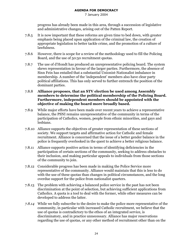7 January 2004

progress has already been made in this area, through a succession of legislative and administrative changes, arising out of the Patten Report.

- It is now important that these reforms are given time to bed down, with greater  $7.8.5$ emphasis being placed upon application of the criminal law, the creation of appropriate legislation to better tackle crime, and the promotion of a culture of lawfulness.
- However, there is scope for a review of the methodology used to fill the Policing 7.8.6 Board, and the use of 50:50 recruitment quotas.
- $7.8.7$ The use of d'Hondt has produced an unrepresentative policing board. The system skews representation in favour of the larger parties. Furthermore, the absence of Sinn Fein has entailed that a substantial Unionist-Nationalist imbalance in membership. A number of the 'independent' members also have clear party political affiliations. This has only served to further entrench the position of the dominant parties.
- Alliance proposes, that an STV election be used among Assembly 7.8.8 members to determine the political membership of the Policing Board. Furthermore, independent members should be appointed with the objective of making the board more broadly based.
- 7.8.9 While major efforts have been made over recent years to achieve a representative balance, the PSNI remains unrepresentative of the community in terms of the participation of Catholics, women, people from ethnic minorities, and gays and lesbians.
- 7.8.10 Alliance supports the objectives of greater representation of these sections of society. We support targets and affirmative action for Catholic and female recruitment. Alliance is concerned that the issue of a better gender balance in the police is frequently overlooked in the quest to achieve a better religious balance.
- Alliance supports positive action in terms of identifying deficiencies in the  $7.8.11$ participation of certain sections of the community, seeking to address obstacles to their inclusion, and making particular appeals to individuals from those sections of the community to join.
- 7.8.12 Considerable progress has been made in making the Police Service more representative of the community. Alliance would maintain that this is less to do with the use of these quotas than changes in political circumstances, and the long overdue support for the police from nationalist quarters.
- The problem with achieving a balanced police service in the past has not been 7.8.13 discrimination at the point of selection, but achieving sufficient applications from Catholics. A quota is a tool to deal with the former, while other measures can be developed to address the latter.
- 7.8.14 While we fully subscribe to the desire to make the police more representative of the community, in particular with increased Catholic recruitment, we believe that the use of quotas is contradictory to the ethos of an integrated service, is discriminatory, and in practice unnecessary. Alliance has major reservations regarding the use of quotas, or any other method of recruitment other than on the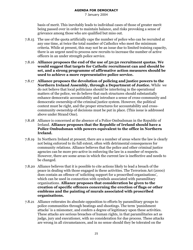7 January 2004

basis of merit. This inevitably leads to individual cases of those of greater merit being passed over in order to maintain balance, and risks provoking a sense of grievance among those who are qualified but miss out.

- The use of the quota artificially caps the number of police who can be recruited at  $7.8.15$ any one time, at twice the total number of Catholics who meet the minimum criteria. While at present, this may not be an issue due to limited training capacity, there is an urgent need to process new recruits to increase the number of active officers in an under strength police service.
- 7.8.16 Alliance proposes the end of the use of 50:50 recruitment quotas. We would suggest that targets for Catholic recruitment can and should be set, and a strong programme of affirmative action measures should be used to achieve a more representative police service.
- 7.8.17 Alliance proposes the devolution of policing and justice powers to the Northern Ireland Assembly, through a Department of Justice. While we do not believe that local politicians should be interfering in the operational matters of the police, we do believe that such structures should substantially enhance democratic accountability and introduce a sense of cross-community and democratic ownership of the criminal justice system. However, the political context must be right, and the proper structures for accountability and crosscommunity ownership of decisions must be put in place. (This issue is addressed above under Strand One).
- 7.8.18 Alliance is concerned at the absence of a Police Ombudsman in the Republic of Ireland. Alliance proposes that the Republic of Ireland should have a Police Ombudsman with powers equivalent to the office in Northern Ireland.
- 7.8.19 In Northern Ireland at present, there are a number of areas where the law is clearly not being enforced to its full extent, often with detrimental consequences for community relations. Alliance believes that the police and other criminal justice agencies can be more pro-active in enforcing the law in a number of respects. However, there are some areas in which the current law is ineffective and needs to be changed.
- 7.8.20 Alliance believes that it is possible to cite actions likely to lead a breach of the peace in dealing with those engaged in these activities. The Terrorism Act (2000) does contain an offence of 'soliciting support for a proscribed organisations'. which can be used in connection with symbols associated with paramilitary organisations. Alliance proposes that consideration be given to the creation of specific offences concerning the erection of flags or other emblems and the painting of murals associated with proscribed organisations.
- 7.8.21 Alliance reiterates its absolute opposition to efforts by paramilitary groups to police communities through beatings and shootings. The term 'punishment' attacks' is a misnomer, and confers a degree of legitimacy upon these activities. These attacks are serious breaches of human rights, in that paramilitaries act as judge, jury and executioner, with no consideration for due process. These attacks are wrong in all circumstances, and in no sense should they be tolerated on the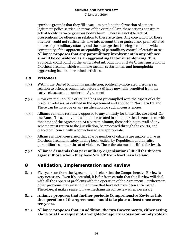7 January 2004

spurious grounds that they fill a vacuum pending the formation of a more legitimate police service. In terms of the criminal law, these actions constitute actual bodily harm or grievous bodily harm. There is a notable lack of prosecutions for offences in relation to these activities. Any conviction for these offences would not sufficiently take into account the organised and premeditated nature of paramilitary attacks, and the message that is being sent to the wider community of the apparent acceptability of paramilitary control of certain areas. Alliance proposes that any paramilitary involvement in any offence should be considered as an aggravating factor in sentencing. This approach could build on the anticipated introduction of Hate Crime legislation in Northern Ireland, which will make racism, sectarianism and homophobia aggravating factors in criminal activities.

#### 7.9 **Prisoners**

- Within the United Kingdom's jurisdiction, politically-motivated prisoners in  $7.9.1$ relation to offences committed before 1998 have now fully benefited from the early-release scheme under the Agreement.
- However, the Republic of Ireland has not yet complied with the aspect of early 7.9.2 prisoner releases, as defined in the Agreement and applied in Northern Ireland. There can be no scope or any justification for such inconsistencies.
- Alliance remains resolutely opposed to any amnesty for those who are called 'On  $7.9.3$ the Runs'. These individuals should be treated in a manner that is consistent with the intent of the Agreement. At a bare minimum, those wishing to avail of any scheme must return to the jurisdiction, be processed through the courts, and placed on licence, with a conviction where appropriate.
- Alliance is most concerned that a large number of citizens are unable to live in 7.9.4 Northern Ireland in safety having been 'exiled' by Republican and Loyalist paramilitaries, under threat of violence. These threats must be lifted forthwith.
- Alliance demands that paramilitary organisations lift all the threats  $7.9.5$ against those whom they have 'exiled' from Northern Ireland.

#### 8 **Validation, Implementation and Review**

- Five years on from the Agreement, it is clear that the Comprehensive Review is  $8.1.1$ very necessary. Even if successful, it is far from certain that this Review will deal with all the apparent problems with the operation of the Agreement. Furthermore, other problems may arise in the future that have not have been anticipated. Therefore, it makes sense to have mechanisms for review when necessary.
- Alliance proposes that further periodic Comprehensive Reviews into 8.1.2 the operation of the Agreement should take place at least once every ten years.
- Alliance proposes that, in addition, the two Governments, either acting 8.1.3 alone or at the request of a weighted-majority cross-community vote in